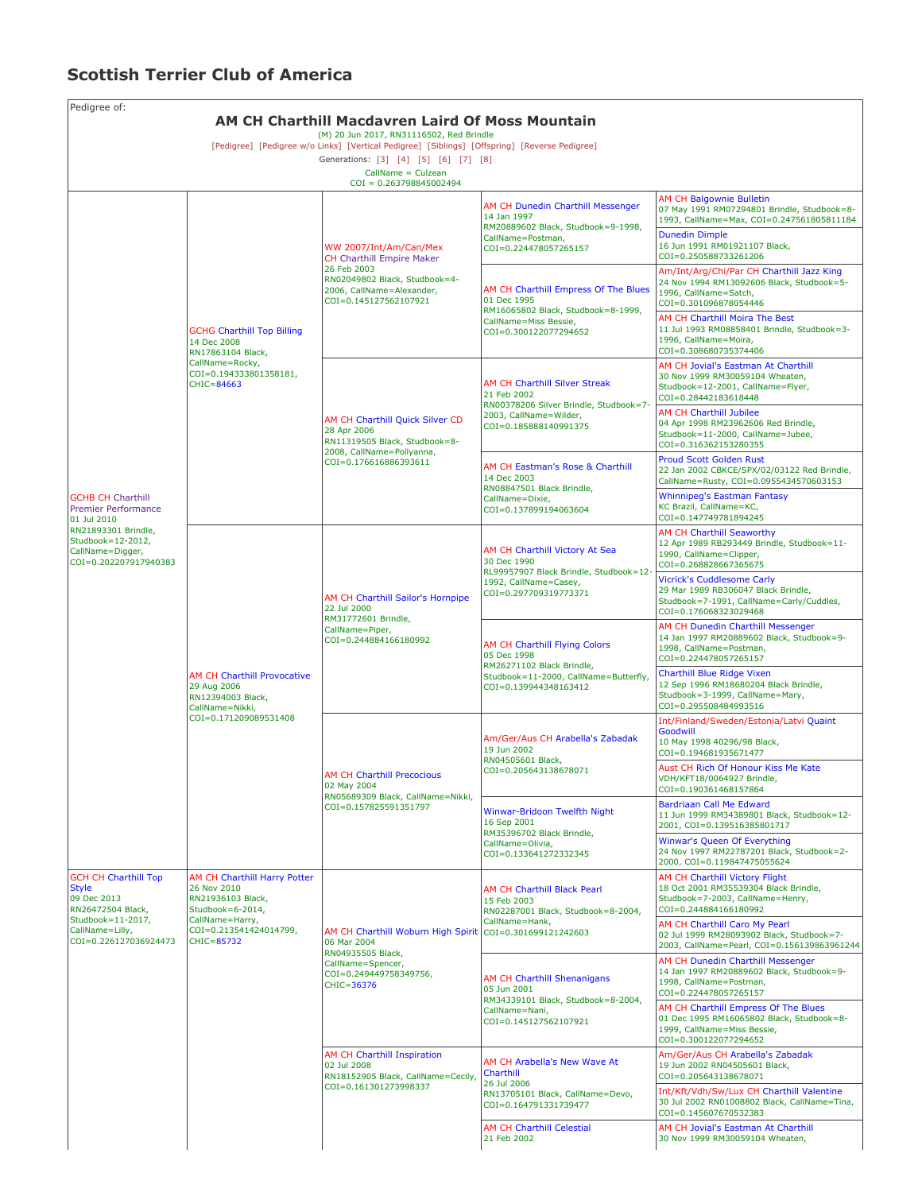## **Scottish Terrier Club of America**

| Pedigree of:<br>AM CH Charthill Macdavren Laird Of Moss Mountain                                                                                        |                                                                                                                                                 |                                                                                                                                                                                                                                      |                                                                                                                                             |                                                                                                                                                                                                                           |  |  |  |  |
|---------------------------------------------------------------------------------------------------------------------------------------------------------|-------------------------------------------------------------------------------------------------------------------------------------------------|--------------------------------------------------------------------------------------------------------------------------------------------------------------------------------------------------------------------------------------|---------------------------------------------------------------------------------------------------------------------------------------------|---------------------------------------------------------------------------------------------------------------------------------------------------------------------------------------------------------------------------|--|--|--|--|
|                                                                                                                                                         |                                                                                                                                                 | (M) 20 Jun 2017, RN31116502, Red Brindle<br>[Pedigree] [Pedigree w/o Links] [Vertical Pedigree] [Siblings] [Offspring] [Reverse Pedigree]<br>Generations: [3] [4] [5] [6] [7] [8]<br>CallName = Culzean<br>$COI = 0.263798845002494$ |                                                                                                                                             |                                                                                                                                                                                                                           |  |  |  |  |
| <b>GCHB CH Charthill</b><br>Premier Performance<br>01 Jul 2010<br>RN21893301 Brindle,<br>Studbook=12-2012,<br>CallName=Digger,<br>COI=0.202207917940383 | <b>GCHG Charthill Top Billing</b><br>14 Dec 2008<br>RN17863104 Black,<br>CallName=Rocky,<br>COI=0.194333801358181,<br>CHIC=84663                | WW 2007/Int/Am/Can/Mex<br><b>CH</b> Charthill Empire Maker<br>26 Feb 2003<br>RN02049802 Black, Studbook=4-<br>2006, CallName=Alexander,<br>COI=0.145127562107921                                                                     | AM CH Dunedin Charthill Messenger<br>14 Jan 1997<br>RM20889602 Black, Studbook=9-1998,<br>CallName=Postman,<br>COI=0.224478057265157        | <b>AM CH Balgownie Bulletin</b><br>07 May 1991 RM07294801 Brindle, Studbook=8-<br>1993, CallName=Max, COI=0.247561805811184<br><b>Dunedin Dimple</b><br>16 Jun 1991 RM01921107 Black,<br>COI=0.250588733261206            |  |  |  |  |
|                                                                                                                                                         |                                                                                                                                                 |                                                                                                                                                                                                                                      | AM CH Charthill Empress Of The Blues<br>01 Dec 1995<br>RM16065802 Black, Studbook=8-1999,<br>CallName=Miss Bessie,<br>COI=0.300122077294652 | Am/Int/Arg/Chi/Par CH Charthill Jazz King<br>24 Nov 1994 RM13092606 Black, Studbook=5-<br>1996, CallName=Satch,<br>COI=0.301096878054446<br>AM CH Charthill Moira The Best<br>11 Jul 1993 RM08858401 Brindle, Studbook=3- |  |  |  |  |
|                                                                                                                                                         |                                                                                                                                                 | AM CH Charthill Quick Silver CD<br>28 Apr 2006<br>RN11319505 Black, Studbook=8-<br>2008, CallName=Pollyanna,<br>COI=0.176616886393611                                                                                                | AM CH Charthill Silver Streak<br>21 Feb 2002<br>RN00378206 Silver Brindle, Studbook=7-<br>2003, CallName=Wilder,<br>COI=0.185888140991375   | 1996, CallName=Moira,<br>COI=0.308680735374406<br>AM CH Jovial's Eastman At Charthill<br>30 Nov 1999 RM30059104 Wheaten,<br>Studbook=12-2001, CallName=Flyer,<br>COI=0.28442183618448                                     |  |  |  |  |
|                                                                                                                                                         |                                                                                                                                                 |                                                                                                                                                                                                                                      |                                                                                                                                             | <b>AM CH Charthill Jubilee</b><br>04 Apr 1998 RM23962606 Red Brindle,<br>Studbook=11-2000, CallName=Jubee,<br>COI=0.316362153280355                                                                                       |  |  |  |  |
|                                                                                                                                                         |                                                                                                                                                 |                                                                                                                                                                                                                                      | AM CH Eastman's Rose & Charthill<br>14 Dec 2003<br>RN08847501 Black Brindle,<br>CallName=Dixie,<br>COI=0.137899194063604                    | <b>Proud Scott Golden Rust</b><br>22 Jan 2002 CBKCE/SPX/02/03122 Red Brindle,<br>CallName=Rusty, COI=0.0955434570603153<br><b>Whinnipeg's Eastman Fantasy</b>                                                             |  |  |  |  |
|                                                                                                                                                         |                                                                                                                                                 |                                                                                                                                                                                                                                      |                                                                                                                                             | KC Brazil, CallName=KC,<br>COI=0.147749781894245<br>AM CH Charthill Seaworthy                                                                                                                                             |  |  |  |  |
|                                                                                                                                                         | <b>AM CH Charthill Provocative</b><br>29 Aug 2006<br>RN12394003 Black,<br>CallName=Nikki,<br>COI=0.171209089531408                              | AM CH Charthill Sailor's Hornpipe<br>22 Jul 2000<br>RM31772601 Brindle,<br>CallName=Piper,<br>COI=0.244884166180992                                                                                                                  | AM CH Charthill Victory At Sea<br>30 Dec 1990<br>RL99957907 Black Brindle, Studbook=12-<br>1992, CallName=Casey,<br>COI=0.297709319773371   | 12 Apr 1989 RB293449 Brindle, Studbook=11-<br>1990, CallName=Clipper,<br>COI=0.268828667365675                                                                                                                            |  |  |  |  |
|                                                                                                                                                         |                                                                                                                                                 |                                                                                                                                                                                                                                      |                                                                                                                                             | <b>Vicrick's Cuddlesome Carly</b><br>29 Mar 1989 RB306047 Black Brindle,<br>Studbook=7-1991, CallName=Carly/Cuddles,<br>COI=0.176068323029468                                                                             |  |  |  |  |
|                                                                                                                                                         |                                                                                                                                                 |                                                                                                                                                                                                                                      | AM CH Charthill Flying Colors<br>05 Dec 1998<br>RM26271102 Black Brindle,<br>Studbook=11-2000, CallName=Butterfly,<br>COI=0.139944348163412 | AM CH Dunedin Charthill Messenger<br>14 Jan 1997 RM20889602 Black, Studbook=9-<br>1998, CallName=Postman,<br>COI=0.224478057265157                                                                                        |  |  |  |  |
|                                                                                                                                                         |                                                                                                                                                 |                                                                                                                                                                                                                                      |                                                                                                                                             | <b>Charthill Blue Ridge Vixen</b><br>12 Sep 1996 RM18680204 Black Brindle,<br>Studbook=3-1999, CallName=Mary,<br>COI=0.295508484993516                                                                                    |  |  |  |  |
|                                                                                                                                                         |                                                                                                                                                 | <b>AM CH Charthill Precocious</b><br>02 May 2004<br>RN05689309 Black, CallName=Nikki,<br>COI=0.157825591351797                                                                                                                       | Am/Ger/Aus CH Arabella's Zabadak<br>19 Jun 2002<br>RN04505601 Black,<br>COI=0.205643138678071                                               | Int/Finland/Sweden/Estonia/Latvi Quaint<br>Goodwill<br>10 May 1998 40296/98 Black,<br>COI=0.194681935671477                                                                                                               |  |  |  |  |
|                                                                                                                                                         |                                                                                                                                                 |                                                                                                                                                                                                                                      |                                                                                                                                             | Aust CH Rich Of Honour Kiss Me Kate<br>VDH/KFT18/0064927 Brindle,<br>COI=0.190361468157864                                                                                                                                |  |  |  |  |
|                                                                                                                                                         |                                                                                                                                                 |                                                                                                                                                                                                                                      | Winwar-Bridoon Twelfth Night<br>16 Sep 2001<br>RM35396702 Black Brindle,<br>CallName=Olivia,<br>COI=0.133641272332345                       | Bardriaan Call Me Edward<br>11 Jun 1999 RM34389801 Black, Studbook=12-<br>2001, COI=0.139516385801717                                                                                                                     |  |  |  |  |
|                                                                                                                                                         |                                                                                                                                                 |                                                                                                                                                                                                                                      |                                                                                                                                             | Winwar's Queen Of Everything<br>24 Nov 1997 RM22787201 Black, Studbook=2-<br>2000, COI=0.119847475055624                                                                                                                  |  |  |  |  |
| <b>GCH CH Charthill Top</b><br><b>Style</b><br>09 Dec 2013<br>RN26472504 Black,<br>Studbook=11-2017,<br>CallName=Lilly,<br>COI=0.226127036924473        | AM CH Charthill Harry Potter<br>26 Nov 2010<br>RN21936103 Black,<br>Studbook=6-2014,<br>CallName=Harry,<br>COI=0.213541424014799,<br>CHIC=85732 | AM CH Charthill Woburn High Spirit COI=0.301699121242603<br>06 Mar 2004<br>RN04935505 Black,<br>CallName=Spencer,<br>COI=0.249449758349756,<br>CHIC=36376                                                                            | AM CH Charthill Black Pearl<br>15 Feb 2003<br>RN02287001 Black, Studbook=8-2004,<br>CallName=Hank,                                          | AM CH Charthill Victory Flight<br>18 Oct 2001 RM35539304 Black Brindle,<br>Studbook=7-2003, CallName=Henry,<br>COI=0.244884166180992                                                                                      |  |  |  |  |
|                                                                                                                                                         |                                                                                                                                                 |                                                                                                                                                                                                                                      |                                                                                                                                             | AM CH Charthill Caro My Pearl<br>02 Jul 1999 RM28093902 Black, Studbook=7-<br>2003, CallName=Pearl, COI=0.156139863961244                                                                                                 |  |  |  |  |
|                                                                                                                                                         |                                                                                                                                                 |                                                                                                                                                                                                                                      | AM CH Charthill Shenanigans<br>05 Jun 2001<br>RM34339101 Black, Studbook=8-2004,<br>CallName=Nani,<br>COI=0.145127562107921                 | AM CH Dunedin Charthill Messenger<br>14 Jan 1997 RM20889602 Black, Studbook=9-<br>1998, CallName=Postman,<br>COI=0.224478057265157                                                                                        |  |  |  |  |
|                                                                                                                                                         |                                                                                                                                                 |                                                                                                                                                                                                                                      |                                                                                                                                             | AM CH Charthill Empress Of The Blues<br>01 Dec 1995 RM16065802 Black, Studbook=8-<br>1999, CallName=Miss Bessie,<br>COI=0.300122077294652                                                                                 |  |  |  |  |
|                                                                                                                                                         |                                                                                                                                                 | AM CH Charthill Inspiration<br>02 Jul 2008<br>RN18152905 Black, CallName=Cecily,<br>COI=0.161301273998337                                                                                                                            | AM CH Arabella's New Wave At<br>Charthill<br>26 Jul 2006<br>RN13705101 Black, CallName=Devo,<br>COI=0.164791331739477                       | Am/Ger/Aus CH Arabella's Zabadak<br>19 Jun 2002 RN04505601 Black,<br>COI=0.205643138678071                                                                                                                                |  |  |  |  |
|                                                                                                                                                         |                                                                                                                                                 |                                                                                                                                                                                                                                      |                                                                                                                                             | Int/Kft/Vdh/Sw/Lux CH Charthill Valentine<br>30 Jul 2002 RN01008802 Black, CallName=Tina,<br>COI=0.145607670532383                                                                                                        |  |  |  |  |
|                                                                                                                                                         |                                                                                                                                                 |                                                                                                                                                                                                                                      | <b>AM CH Charthill Celestial</b><br>21 Feb 2002                                                                                             | AM CH Jovial's Eastman At Charthill<br>30 Nov 1999 RM30059104 Wheaten,                                                                                                                                                    |  |  |  |  |